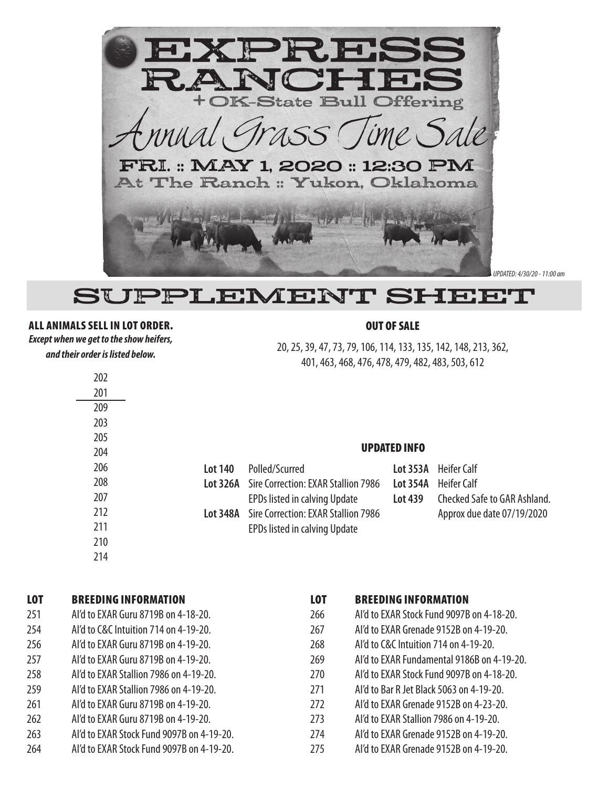

*UPDATED: 4/30/20 - 11:00 am*

## SUPPLEMENT SHEET

## ALL ANIMALS SELL IN LOT ORDER.

*Except when we get to the show heifers, and their order is listed below.*

## OUT OF SALE

20, 25, 39, 47, 73, 79, 106, 114, 133, 135, 142, 148, 213, 362, 401, 463, 468, 476, 478, 479, 482, 483, 503, 612

|         |                                                     | <b>UPDATED INFO</b> |                              |  |  |  |
|---------|-----------------------------------------------------|---------------------|------------------------------|--|--|--|
| Lot 140 | Polled/Scurred                                      | Lot 353A            | Heifer Calf                  |  |  |  |
|         | <b>Lot 326A</b> Sire Correction: EXAR Stallion 7986 | <b>Lot 354A</b>     | Heifer Calf                  |  |  |  |
|         | EPDs listed in calving Update                       | Lot 439             | Checked Safe to GAR Ashland. |  |  |  |
|         | <b>Lot 348A</b> Sire Correction: EXAR Stallion 7986 |                     | Approx due date 07/19/2020   |  |  |  |
|         | EPDs listed in calving Update                       |                     |                              |  |  |  |

## LOT BREEDING INFORMATION

| Al'd to EXAR Guru 8719B on 4-18-20.<br>251 |
|--------------------------------------------|
|--------------------------------------------|

- 254 AI'd to C&C Intuition 714 on 4-19-20.
- 256 AI'd to EXAR Guru 8719B on 4-19-20.
- 257 AI'd to EXAR Guru 8719B on 4-19-20.
- 258 AI'd to EXAR Stallion 7986 on 4-19-20.
- 259 AI'd to EXAR Stallion 7986 on 4-19-20.
- 261 AI'd to EXAR Guru 8719B on 4-19-20.
- 262 AI'd to EXAR Guru 8719B on 4-19-20.
- 263 AI'd to EXAR Stock Fund 9097B on 4-19-20.
- 264 AI'd to EXAR Stock Fund 9097B on 4-19-20.

| <b>LOT</b> | <b>BREEDING INFORMATION</b>                |
|------------|--------------------------------------------|
| 266        | AI'd to EXAR Stock Fund 9097B on 4-18-20.  |
| 267        | Al'd to EXAR Grenade 9152B on 4-19-20.     |
| 268        | Al'd to C&C Intuition 714 on 4-19-20.      |
| 269        | Al'd to EXAR Fundamental 9186B on 4-19-20. |
| 270        | AI'd to EXAR Stock Fund 9097B on 4-18-20.  |
| 271        | Al'd to Bar R Jet Black 5063 on 4-19-20.   |
| 272        | Al'd to EXAR Grenade 9152B on 4-23-20.     |
| 273        | Al'd to EXAR Stallion 7986 on 4-19-20.     |
| 274        | Al'd to EXAR Grenade 9152B on 4-19-20.     |
| 275        | Al'd to EXAR Grenade 9152B on 4-19-20.     |
|            |                                            |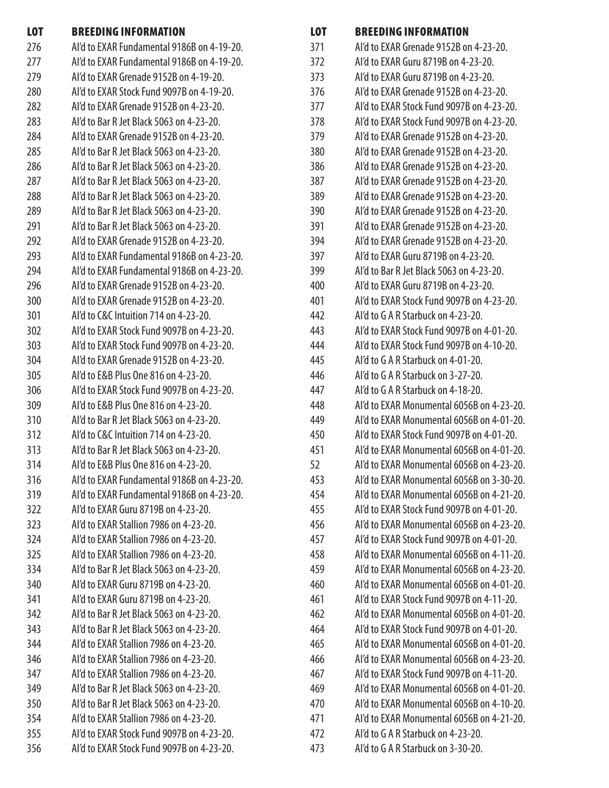| <b>LOT</b> | <b>BREEDING INFORMATION</b>                | <b>LOT</b> | <b>BREEDING INFORMATION</b>               |
|------------|--------------------------------------------|------------|-------------------------------------------|
| 276        | Al'd to EXAR Fundamental 9186B on 4-19-20. | 371        | Al'd to EXAR Grenade 9152B on 4-23-20.    |
| 277        | Al'd to EXAR Fundamental 9186B on 4-19-20. | 372        | Al'd to EXAR Guru 8719B on 4-23-20.       |
| 279        | Al'd to EXAR Grenade 9152B on 4-19-20.     | 373        | Al'd to EXAR Guru 8719B on 4-23-20.       |
| 280        | Al'd to EXAR Stock Fund 9097B on 4-19-20.  | 376        | Al'd to EXAR Grenade 9152B on 4-23-20.    |
| 282        | Al'd to EXAR Grenade 9152B on 4-23-20.     | 377        | Al'd to EXAR Stock Fund 9097B on 4-23-20. |
| 283        | Al'd to Bar R Jet Black 5063 on 4-23-20.   | 378        | Al'd to EXAR Stock Fund 9097B on 4-23-20. |
| 284        | Al'd to EXAR Grenade 9152B on 4-23-20.     | 379        | Al'd to EXAR Grenade 9152B on 4-23-20.    |
| 285        | Al'd to Bar R Jet Black 5063 on 4-23-20.   | 380        | Al'd to EXAR Grenade 9152B on 4-23-20.    |
| 286        | Al'd to Bar R Jet Black 5063 on 4-23-20.   | 386        | Al'd to EXAR Grenade 9152B on 4-23-20.    |
| 287        | Al'd to Bar R Jet Black 5063 on 4-23-20.   | 387        | Al'd to EXAR Grenade 9152B on 4-23-20.    |
| 288        | Al'd to Bar R Jet Black 5063 on 4-23-20.   | 389        | Al'd to EXAR Grenade 9152B on 4-23-20.    |
| 289        | Al'd to Bar R Jet Black 5063 on 4-23-20.   | 390        | Al'd to EXAR Grenade 9152B on 4-23-20.    |
| 291        | Al'd to Bar R Jet Black 5063 on 4-23-20.   | 391        | Al'd to EXAR Grenade 9152B on 4-23-20.    |
| 292        | Al'd to EXAR Grenade 9152B on 4-23-20.     | 394        | Al'd to EXAR Grenade 9152B on 4-23-20.    |
| 293        | Al'd to EXAR Fundamental 9186B on 4-23-20. | 397        | Al'd to EXAR Guru 8719B on 4-23-20.       |
| 294        | Al'd to EXAR Fundamental 9186B on 4-23-20. | 399        | Al'd to Bar R Jet Black 5063 on 4-23-20.  |
| 296        | Al'd to EXAR Grenade 9152B on 4-23-20.     | 400        | Al'd to EXAR Guru 8719B on 4-23-20.       |
| 300        | Al'd to EXAR Grenade 9152B on 4-23-20.     | 401        | Al'd to EXAR Stock Fund 9097B on 4-23-20. |
| 301        | Al'd to C&C Intuition 714 on 4-23-20.      | 442        | Al'd to G A R Starbuck on 4-23-20.        |
| 302        | Al'd to EXAR Stock Fund 9097B on 4-23-20.  | 443        | Al'd to EXAR Stock Fund 9097B on 4-01-20. |
| 303        | Al'd to EXAR Stock Fund 9097B on 4-23-20.  | 444        | Al'd to EXAR Stock Fund 9097B on 4-10-20. |
| 304        | Al'd to EXAR Grenade 9152B on 4-23-20.     | 445        | Al'd to G A R Starbuck on 4-01-20.        |
| 305        | Al'd to E&B Plus One 816 on 4-23-20.       | 446        | Al'd to G A R Starbuck on 3-27-20.        |
| 306        | Al'd to EXAR Stock Fund 9097B on 4-23-20.  | 447        | Al'd to G A R Starbuck on 4-18-20.        |
| 309        | Al'd to E&B Plus One 816 on 4-23-20.       | 448        | Al'd to EXAR Monumental 6056B on 4-23-20. |
| 310        | Al'd to Bar R Jet Black 5063 on 4-23-20.   | 449        | Al'd to EXAR Monumental 6056B on 4-01-20. |
| 312        | Al'd to C&C Intuition 714 on 4-23-20.      | 450        | Al'd to EXAR Stock Fund 9097B on 4-01-20. |
| 313        | Al'd to Bar R Jet Black 5063 on 4-23-20.   | 451        | Al'd to EXAR Monumental 6056B on 4-01-20. |
| 314        | Al'd to E&B Plus One 816 on 4-23-20.       | 52         | Al'd to EXAR Monumental 6056B on 4-23-20. |
| 316        | Al'd to EXAR Fundamental 9186B on 4-23-20. | 453        | Al'd to EXAR Monumental 6056B on 3-30-20. |
| 319        | Al'd to EXAR Fundamental 9186B on 4-23-20. | 454        | Al'd to EXAR Monumental 6056B on 4-21-20. |
| 322        | Al'd to EXAR Guru 8719B on 4-23-20.        | 455        | Al'd to EXAR Stock Fund 9097B on 4-01-20. |
| 323        | Al'd to EXAR Stallion 7986 on 4-23-20.     | 456        | Al'd to EXAR Monumental 6056B on 4-23-20. |
| 324        | Al'd to EXAR Stallion 7986 on 4-23-20.     | 457        | Al'd to EXAR Stock Fund 9097B on 4-01-20. |
| 325        | Al'd to EXAR Stallion 7986 on 4-23-20.     | 458        | Al'd to EXAR Monumental 6056B on 4-11-20. |
| 334        | Al'd to Bar R Jet Black 5063 on 4-23-20.   | 459        | Al'd to EXAR Monumental 6056B on 4-23-20. |
| 340        | Al'd to EXAR Guru 8719B on 4-23-20.        | 460        | Al'd to EXAR Monumental 6056B on 4-01-20. |
| 341        | Al'd to EXAR Guru 8719B on 4-23-20.        | 461        | Al'd to EXAR Stock Fund 9097B on 4-11-20. |
| 342        | Al'd to Bar R Jet Black 5063 on 4-23-20.   | 462        | Al'd to EXAR Monumental 6056B on 4-01-20. |
| 343        | Al'd to Bar R Jet Black 5063 on 4-23-20.   | 464        | Al'd to EXAR Stock Fund 9097B on 4-01-20. |
| 344        | Al'd to EXAR Stallion 7986 on 4-23-20.     | 465        | Al'd to EXAR Monumental 6056B on 4-01-20. |
| 346        | Al'd to EXAR Stallion 7986 on 4-23-20.     | 466        | Al'd to EXAR Monumental 6056B on 4-23-20. |
| 347        | Al'd to EXAR Stallion 7986 on 4-23-20.     | 467        | Al'd to EXAR Stock Fund 9097B on 4-11-20. |
| 349        | Al'd to Bar R Jet Black 5063 on 4-23-20.   | 469        | Al'd to EXAR Monumental 6056B on 4-01-20. |
| 350        | Al'd to Bar R Jet Black 5063 on 4-23-20.   | 470        | Al'd to EXAR Monumental 6056B on 4-10-20. |
| 354        | Al'd to EXAR Stallion 7986 on 4-23-20.     | 471        | Al'd to EXAR Monumental 6056B on 4-21-20. |
| 355        | Al'd to EXAR Stock Fund 9097B on 4-23-20.  | 472        | Al'd to G A R Starbuck on 4-23-20.        |
| 356        | Al'd to EXAR Stock Fund 9097B on 4-23-20.  | 473        | Al'd to G A R Starbuck on 3-30-20.        |
|            |                                            |            |                                           |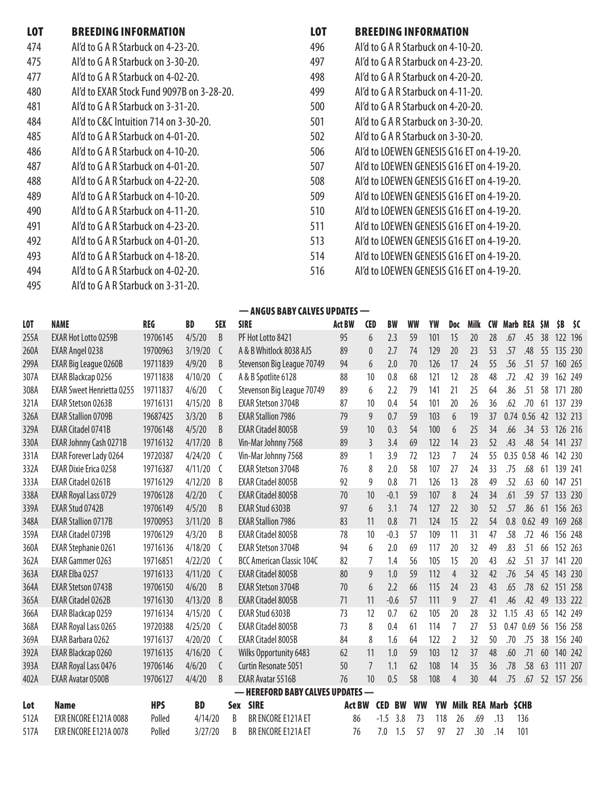| <b>LOT</b> | <b>BREEDING INFORMATION</b>               | <b>LOT</b> | <b>BREEDING INFORMATION</b>               |
|------------|-------------------------------------------|------------|-------------------------------------------|
| 474        | Al'd to G A R Starbuck on 4-23-20.        | 496        | Al'd to G A R Starbuck on 4-10-20.        |
| 475        | Al'd to G A R Starbuck on 3-30-20.        | 497        | Al'd to G A R Starbuck on 4-23-20.        |
| 477        | Al'd to G A R Starbuck on 4-02-20.        | 498        | Al'd to G A R Starbuck on 4-20-20.        |
| 480        | AI'd to EXAR Stock Fund 9097B on 3-28-20. | 499        | Al'd to G A R Starbuck on 4-11-20.        |
| 481        | Al'd to G A R Starbuck on 3-31-20.        | 500        | Al'd to G A R Starbuck on 4-20-20.        |
| 484        | Al'd to C&C Intuition 714 on 3-30-20.     | 501        | Al'd to G A R Starbuck on 3-30-20.        |
| 485        | Al'd to G A R Starbuck on 4-01-20.        | 502        | Al'd to G A R Starbuck on 3-30-20.        |
| 486        | Al'd to G A R Starbuck on 4-10-20.        | 506        | AI'd to LOEWEN GENESIS G16 ET on 4-19-20. |
| 487        | Al'd to G A R Starbuck on 4-01-20.        | 507        | AI'd to LOEWEN GENESIS G16 ET on 4-19-20. |
| 488        | Al'd to G A R Starbuck on 4-22-20.        | 508        | AI'd to LOEWEN GENESIS G16 ET on 4-19-20. |
| 489        | Al'd to G A R Starbuck on 4-10-20.        | 509        | AI'd to LOEWEN GENESIS G16 ET on 4-19-20. |
| 490        | Al'd to G A R Starbuck on 4-11-20.        | 510        | AI'd to LOEWEN GENESIS G16 ET on 4-19-20. |
| 491        | Al'd to G A R Starbuck on 4-23-20.        | 511        | AI'd to LOEWEN GENESIS G16 ET on 4-19-20. |
| 492        | Al'd to G A R Starbuck on 4-01-20.        | 513        | AI'd to LOEWEN GENESIS G16 ET on 4-19-20. |
| 493        | Al'd to G A R Starbuck on 4-18-20.        | 514        | AI'd to LOEWEN GENESIS G16 ET on 4-19-20. |
| 494        | Al'd to G A R Starbuck on 4-02-20.        | 516        | AI'd to LOEWEN GENESIS G16 ET on 4-19-20. |
| 495        | Al'd to G A R Starbuck on 3-31-20.        |            |                                           |

— ANGUS BABY CALVES UPDATES — LOT NAME REG BD SEX SIRE Act BW CED BW WW YW Doc Milk CW Marb REA \$M \$B \$C 255A EXAR Hot Lotto 0259B 19706145 4/5/20 B PF Hot Lotto 8421 95 6 2.3 59 101 15 20 28 .67 .45 38 122 196 260A EXAR Angel 0238 19700963 3/19/20 C A & B Whitlock 8038 AJS 89 0 2.7 74 129 20 23 53 .57 .48 55 135 230 299A EXAR Big League 0260B 19711839 4/9/20 B Stevenson Big League 70749 94 6 2.0 70 126 17 24 55 .56 .51 57 160 265 307A EXAR Blackcap 0256 19711838 4/10/20 C A & B Spotlite 6128 88 10 0.8 68 121 12 28 48 .72 .42 39 162 249 308A EXAR Sweet Henrietta 0255 19711837 4/6/20 C Stevenson Big League 70749 89 6 2.2 79 141 21 25 64 .86 .51 58 171 280 321A EXAR Stetson 0263B 19716131 4/15/20 B EXAR Stetson 3704B 87 10 0.4 54 101 20 26 36 .62 .70 61 137 239 326A EXAR Stallion 0709B 19687425 3/3/20 B EXAR Stallion 7986 79 9 0.7 59 103 6 19 37 0.74 0.56 42 132 213 329A EXAR Citadel 0741B 19706148 4/5/20 B EXAR Citadel 8005B 59 10 0.3 54 100 6 25 34 .66 .34 53 126 216 330A EXAR Johnny Cash 0271B 19716132 4/17/20 B Vin-Mar Johnny 7568 89 3 3.4 69 122 14 23 52 .43 .48 54 141 237 331A EXAR Forever Lady 0264 19720387 4/24/20 C Vin-Mar Johnny 7568 89 1 3.9 72 123 7 24 55 0.35 0.58 46 142 230 332A EXAR Dixie Erica 0258 19716387 4/11/20 C EXAR Stetson 3704B 76 8 2.0 58 107 27 24 33 .75 .68 61 139 241 333A EXAR Citadel 0261B 19716129 4/12/20 B EXAR Citadel 8005B 92 9 0.8 71 126 13 28 49 .52 .63 60 147 251 338A EXAR Royal Lass 0729 19706128 4/2/20 C EXAR Citadel 8005B 70 10 -0.1 59 107 8 24 34 .61 .59 57 133 230 339A EXAR Stud 0742B 19706149 4/5/20 B EXAR Stud 6303B 97 6 3.1 74 127 22 30 52 .57 .86 61 156 263 348A EXAR Stallion 0717B 19700953 3/11/20 B EXAR Stallion 7986 83 11 0.8 71 124 15 22 54 0.8 0.62 49 169 268 359A EXAR Citadel 0739B 19706129 4/3/20 B EXAR Citadel 8005B 78 10 -0.3 57 109 11 31 47 .58 .72 46 156 248 360A EXAR Stephanie 0261 19716136 4/18/20 C EXAR Stetson 3704B 94 6 2.0 69 117 20 32 49 .83 .51 66 152 263 362A EXAR Gammer 0263 19716851 4/22/20 C BCC American Classic 104C 82 7 1.4 56 105 15 20 43 .62 .51 37 141 220 363A EXAR Elba 0257 19716133 4/11/20 C EXAR Citadel 8005B 80 9 1.0 59 112 4 32 42 .76 .54 45 143 230 364A EXAR Stetson 0743B 19706150 4/6/20 B EXAR Stetson 3704B 70 6 2.2 66 115 24 23 43 .65 .78 62 151 258 365A EXAR Citadel 0262B 19716130 4/13/20 B EXAR Citadel 8005B 71 11 -0.6 57 111 9 27 41 .46 .42 49 133 222 366A EXAR Blackcap 0259 19716134 4/15/20 C EXAR Stud 6303B 73 12 0.7 62 105 20 28 32 1.15 .43 65 142 249 368A EXAR Royal Lass 0265 19720388 4/25/20 C EXAR Citadel 8005B 73 8 0.4 61 114 7 27 53 0.47 0.69 56 156 258 369A EXAR Barbara 0262 19716137 4/20/20 C EXAR Citadel 8005B 84 8 1.6 64 122 2 32 50 .70 .75 38 156 240 392A EXAR Blackcap 0260 19716135 4/16/20 C Wilks Opportunity 6483 62 11 1.0 59 103 12 37 48 .60 .71 60 140 242 393A EXAR Royal Lass 0476 19706146 4/6/20 C Curtin Resonate 5051 50 7 1.1 62 108 14 35 36 .78 .58 63 111 207 402A EXAR Avatar 0500B 19706127 4/4/20 B EXAR Avatar 5516B 76 10 0.5 58 108 4 30 44 .75 .67 52 157 256 — HEREFORD BABY CALVES UPDATES —

| Lot  | Name                  | <b>HPS</b> | <b>BD</b>   | Sex SIRE           | Act BW CED BW WW YW Milk REA Marb \$CHB |  |  |  |                                 |       |
|------|-----------------------|------------|-------------|--------------------|-----------------------------------------|--|--|--|---------------------------------|-------|
| 512A | FXR FNCORF F121A 0088 | Polled     | $4/14/20$ B | BR FNCORF F121A FT |                                         |  |  |  | 86 -1.5 3.8 73 118 26 69 13 136 |       |
| 517A | EXR ENCORE E121A 0078 | Polled     | 3/27/20     | BR FNCORF F121A FT |                                         |  |  |  | 7.0 1.5 57 97 27 .30 .14        | - 101 |